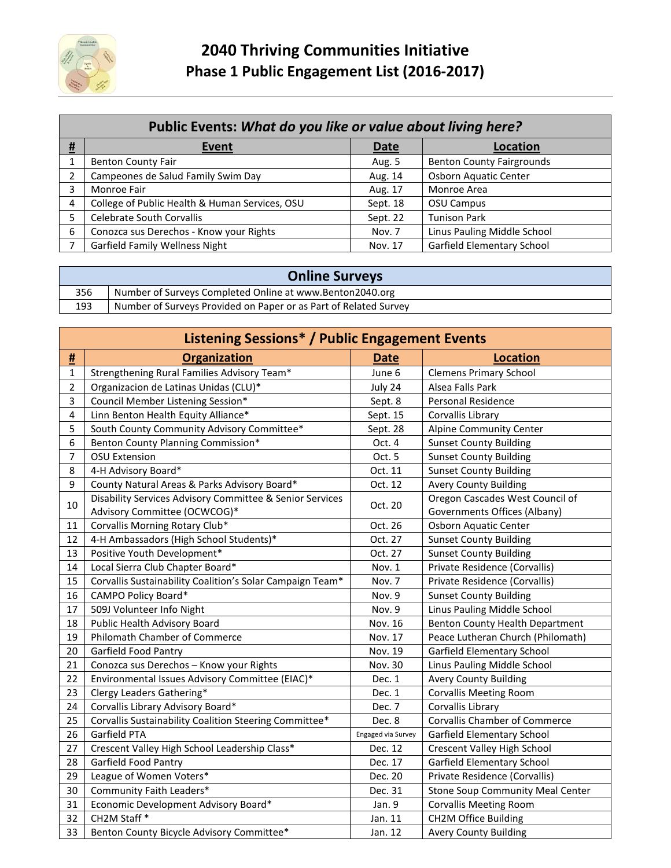

| Public Events: What do you like or value about living here? |                                                |             |                                   |  |
|-------------------------------------------------------------|------------------------------------------------|-------------|-----------------------------------|--|
| <u>#</u>                                                    | Event                                          | <b>Date</b> | <b>Location</b>                   |  |
|                                                             | <b>Benton County Fair</b>                      | Aug. 5      | <b>Benton County Fairgrounds</b>  |  |
|                                                             | Campeones de Salud Family Swim Day             | Aug. 14     | Osborn Aquatic Center             |  |
| 3.                                                          | Monroe Fair                                    | Aug. 17     | Monroe Area                       |  |
| $\overline{a}$                                              | College of Public Health & Human Services, OSU | Sept. 18    | <b>OSU Campus</b>                 |  |
|                                                             | Celebrate South Corvallis                      | Sept. 22    | <b>Tunison Park</b>               |  |
| 6                                                           | Conozca sus Derechos - Know your Rights        | Nov. 7      | Linus Pauling Middle School       |  |
|                                                             | <b>Garfield Family Wellness Night</b>          | Nov. 17     | <b>Garfield Elementary School</b> |  |

| <b>Online Surveys</b> |                                                                  |  |  |
|-----------------------|------------------------------------------------------------------|--|--|
| 356                   | Number of Surveys Completed Online at www.Benton2040.org         |  |  |
| 193                   | Number of Surveys Provided on Paper or as Part of Related Survey |  |  |

| <b>Listening Sessions* / Public Engagement Events</b> |                                                           |                                          |                                        |  |
|-------------------------------------------------------|-----------------------------------------------------------|------------------------------------------|----------------------------------------|--|
| <u>#</u>                                              | <b>Organization</b>                                       | <b>Date</b>                              | <b>Location</b>                        |  |
| $\mathbf{1}$                                          | Strengthening Rural Families Advisory Team*               | June 6                                   | <b>Clemens Primary School</b>          |  |
| $\overline{2}$                                        | Organizacion de Latinas Unidas (CLU)*                     | July 24                                  | Alsea Falls Park                       |  |
| 3                                                     | Council Member Listening Session*                         | Sept. 8                                  | Personal Residence                     |  |
| $\overline{\mathbf{4}}$                               | Linn Benton Health Equity Alliance*                       | Sept. 15                                 | Corvallis Library                      |  |
| 5                                                     | South County Community Advisory Committee*                | Sept. 28                                 | Alpine Community Center                |  |
| 6                                                     | Benton County Planning Commission*                        | Oct. 4                                   | <b>Sunset County Building</b>          |  |
| $\overline{7}$                                        | <b>OSU Extension</b>                                      | Oct. 5                                   | <b>Sunset County Building</b>          |  |
| 8                                                     | 4-H Advisory Board*                                       | Oct. 11                                  | <b>Sunset County Building</b>          |  |
| 9                                                     | County Natural Areas & Parks Advisory Board*              | Oct. 12                                  | <b>Avery County Building</b>           |  |
| 10                                                    | Disability Services Advisory Committee & Senior Services  | Oct. 20                                  | Oregon Cascades West Council of        |  |
|                                                       | Advisory Committee (OCWCOG)*                              |                                          | Governments Offices (Albany)           |  |
| 11                                                    | Corvallis Morning Rotary Club*                            | Oct. 26                                  | Osborn Aquatic Center                  |  |
| 12                                                    | 4-H Ambassadors (High School Students)*                   | Oct. 27                                  | <b>Sunset County Building</b>          |  |
| 13                                                    | Positive Youth Development*                               | <b>Sunset County Building</b><br>Oct. 27 |                                        |  |
| 14                                                    | Local Sierra Club Chapter Board*                          | Nov. 1                                   | Private Residence (Corvallis)          |  |
| 15                                                    | Corvallis Sustainability Coalition's Solar Campaign Team* | Nov. 7                                   | Private Residence (Corvallis)          |  |
| 16                                                    | CAMPO Policy Board*                                       | Nov. 9                                   | <b>Sunset County Building</b>          |  |
| 17                                                    | 509J Volunteer Info Night                                 | Nov. 9                                   | Linus Pauling Middle School            |  |
| 18                                                    | Public Health Advisory Board                              | Nov. 16                                  | <b>Benton County Health Department</b> |  |
| 19                                                    | Philomath Chamber of Commerce                             | Nov. 17                                  | Peace Lutheran Church (Philomath)      |  |
| 20                                                    | Garfield Food Pantry                                      | Nov. 19                                  | Garfield Elementary School             |  |
| 21                                                    | Conozca sus Derechos - Know your Rights                   | Nov. 30                                  | Linus Pauling Middle School            |  |
| 22                                                    | Environmental Issues Advisory Committee (EIAC)*           | Dec. 1                                   | <b>Avery County Building</b>           |  |
| 23                                                    | Clergy Leaders Gathering*                                 | Dec. 1                                   | <b>Corvallis Meeting Room</b>          |  |
| 24                                                    | Corvallis Library Advisory Board*                         | Dec. 7                                   | Corvallis Library                      |  |
| 25                                                    | Corvallis Sustainability Coalition Steering Committee*    | Dec. 8                                   | <b>Corvallis Chamber of Commerce</b>   |  |
| 26                                                    | Garfield PTA                                              | Engaged via Survey                       | Garfield Elementary School             |  |
| 27                                                    | Crescent Valley High School Leadership Class*             | Dec. 12                                  | Crescent Valley High School            |  |
| 28                                                    | Garfield Food Pantry                                      | Dec. 17                                  | Garfield Elementary School             |  |
| 29                                                    | League of Women Voters*                                   | Dec. 20                                  | Private Residence (Corvallis)          |  |
| 30                                                    | Community Faith Leaders*                                  | Dec. 31                                  | Stone Soup Community Meal Center       |  |
| 31                                                    | Economic Development Advisory Board*                      | Jan. 9                                   | <b>Corvallis Meeting Room</b>          |  |
| 32                                                    | CH2M Staff *                                              | Jan. 11                                  | <b>CH2M Office Building</b>            |  |
| 33                                                    | Benton County Bicycle Advisory Committee*                 | Jan. 12                                  | <b>Avery County Building</b>           |  |